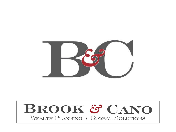

#### BROOK & CANO WEALTH PLANNING . GLOBAL SOLUTIONS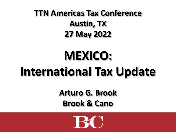#### **TTN Americas Tax Conference Austin, TX 27 May 2022**

# **MEXICO: International Tax Update**

**Arturo G. Brook Brook & Cano**

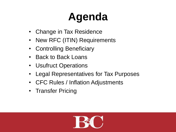## **Agenda**

- Change in Tax Residence
- New RFC (ITIN) Requirements
- Controlling Beneficiary
- Back to Back Loans
- Usufruct Operations
- Legal Representatives for Tax Purposes
- CFC Rules / Inflation Adjustments
- Transfer Pricing

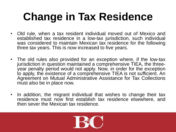### **Change in Tax Residence**

- Old rule, when a tax resident individual moved out of Mexico and established tax residence in a low-tax jurisdiction, such individual was considered to maintain Mexican tax residence for the following three tax years. This is now increased to five years.
- The old rules also provided for an exception where, if the low-tax jurisdiction in question maintained a comprehensive TIEA, the threeyear penalty period would not apply. Now, in order for the exception to apply, the existence of a comprehensive TIEA is not sufficient. An Agreement on Mutual Administrative Assistance for Tax Collections must also be in place now.
- In addition, the migrant individual that wishes to change their tax residence must now first establish tax residence elsewhere, and then sever the Mexican tax residence.

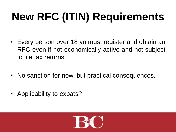# **New RFC (ITIN) Requirements**

- Every person over 18 yo must register and obtain an RFC even if not economically active and not subject to file tax returns.
- No sanction for now, but practical consequences.
- Applicability to expats?

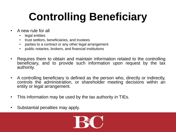## **Controlling Beneficiary**

- A new rule for all
	- legal entities
	- trust settlors, beneficiaries, and trustees
	- parties to a contract or any other legal arrangement
	- public notaries, brokers, and financial institutions
- Requires them to obtain and maintain information related to the controlling beneficiary, and to provide such information upon request by the tax authority.
- A controlling beneficiary is defined as the person who, directly or indirectly, controls the administration, or shareholder meeting decisions within an entity or legal arrangement.
- This information may be used by the tax authority in TIEs.
- Substantial penalties may apply.

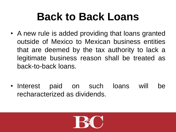### **Back to Back Loans**

- A new rule is added providing that loans granted outside of Mexico to Mexican business entities that are deemed by the tax authority to lack a legitimate business reason shall be treated as back-to-back loans.
- Interest paid on such loans will be recharacterized as dividends.

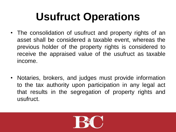### **Usufruct Operations**

- The consolidation of usufruct and property rights of an asset shall be considered a taxable event, whereas the previous holder of the property rights is considered to receive the appraised value of the usufruct as taxable income.
- Notaries, brokers, and judges must provide information to the tax authority upon participation in any legal act that results in the segregation of property rights and usufruct.

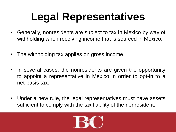### **Legal Representatives**

- Generally, nonresidents are subject to tax in Mexico by way of withholding when receiving income that is sourced in Mexico.
- The withholding tax applies on gross income.
- In several cases, the nonresidents are given the opportunity to appoint a representative in Mexico in order to opt-in to a net-basis tax.
- Under a new rule, the legal representatives must have assets sufficient to comply with the tax liability of the nonresident.

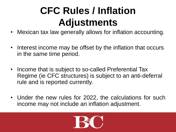### **CFC Rules / Inflation Adjustments**

- Mexican tax law generally allows for inflation accounting.
- Interest income may be offset by the inflation that occurs in the same time period.
- Income that is subject to so-called Preferential Tax Regime (ie CFC structures) is subject to an anti-deferral rule and is reported currently.
- Under the new rules for 2022, the calculations for such income may not include an inflation adjustment.

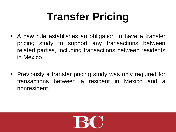### **Transfer Pricing**

- A new rule establishes an obligation to have a transfer pricing study to support any transactions between related parties, including transactions between residents in Mexico.
- Previously a transfer pricing study was only required for transactions between a resident in Mexico and a nonresident.